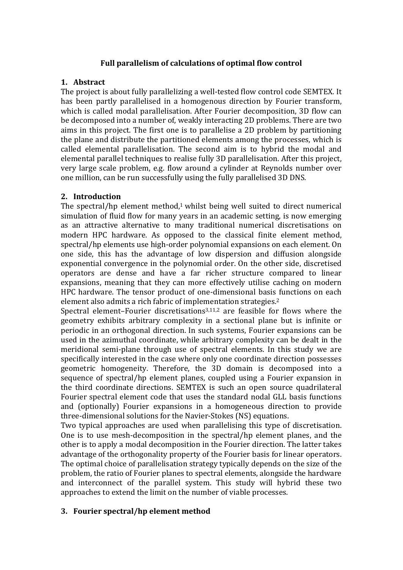## Full parallelism of calculations of optimal flow control

## **1. Abstract**

The project is about fully parallelizing a well-tested flow control code SEMTEX. It has been partly parallelised in a homogenous direction by Fourier transform, which is called modal parallelisation. After Fourier decomposition, 3D flow can be decomposed into a number of, weakly interacting 2D problems. There are two aims in this project. The first one is to parallelise a 2D problem by partitioning the plane and distribute the partitioned elements among the processes, which is called elemental parallelisation. The second aim is to hybrid the modal and elemental parallel techniques to realise fully 3D parallelisation. After this project, very large scale problem, e.g. flow around a cylinder at Reynolds number over one million, can be run successfully using the fully parallelised 3D DNS.

### **2. Introduction**

The spectral/hp element method,<sup>1</sup> whilst being well suited to direct numerical simulation of fluid flow for many years in an academic setting, is now emerging as an attractive alternative to many traditional numerical discretisations on modern HPC hardware. As opposed to the classical finite element method, spectral/hp elements use high-order polynomial expansions on each element. On one side, this has the advantage of low dispersion and diffusion alongside exponential convergence in the polynomial order. On the other side, discretised operators are dense and have a far richer structure compared to linear expansions, meaning that they can more effectively utilise caching on modern HPC hardware. The tensor product of one-dimensional basis functions on each element also admits a rich fabric of implementation strategies.<sup>2</sup>

Spectral element–Fourier discretisations<sup>3,11,2</sup> are feasible for flows where the geometry exhibits arbitrary complexity in a sectional plane but is infinite or periodic in an orthogonal direction. In such systems, Fourier expansions can be used in the azimuthal coordinate, while arbitrary complexity can be dealt in the meridional semi-plane through use of spectral elements. In this study we are specifically interested in the case where only one coordinate direction possesses geometric homogeneity. Therefore, the 3D domain is decomposed into a sequence of spectral/hp element planes, coupled using a Fourier expansion in the third coordinate directions. SEMTEX is such an open source quadrilateral Fourier spectral element code that uses the standard nodal GLL basis functions and (optionally) Fourier expansions in a homogeneous direction to provide three-dimensional solutions for the Navier-Stokes (NS) equations.

Two typical approaches are used when parallelising this type of discretisation. One is to use mesh-decomposition in the spectral/hp element planes, and the other is to apply a modal decomposition in the Fourier direction. The latter takes advantage of the orthogonality property of the Fourier basis for linear operators. The optimal choice of parallelisation strategy typically depends on the size of the problem, the ratio of Fourier planes to spectral elements, alongside the hardware and interconnect of the parallel system. This study will hybrid these two approaches to extend the limit on the number of viable processes.

## **3. Fourier spectral/hp element method**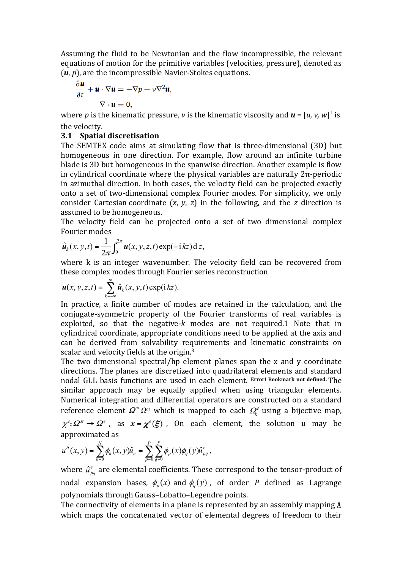Assuming the fluid to be Newtonian and the flow incompressible, the relevant equations of motion for the primitive variables (velocities, pressure), denoted as  $(u, p)$ , are the incompressible Navier-Stokes equations.

$$
\frac{\partial \mathbf{u}}{\partial t} + \mathbf{u} \cdot \nabla \mathbf{u} = -\nabla p + v \nabla^2 \mathbf{u},
$$
  

$$
\nabla \cdot \mathbf{u} = 0.
$$

where *p* is the kinematic pressure, *v* is the kinematic viscosity and  $\boldsymbol{u} = [u, v, w]^T$  is the velocity.

## **3.1 Spatial discretisation**

The SEMTEX code aims at simulating flow that is three-dimensional (3D) but homogeneous in one direction. For example, flow around an infinite turbine blade is 3D but homogeneous in the spanwise direction. Another example is flow in cylindrical coordinate where the physical variables are naturally  $2\pi$ -periodic in azimuthal direction. In both cases, the velocity field can be projected exactly onto a set of two-dimensional complex Fourier modes. For simplicity, we only consider Cartesian coordinate  $(x, y, z)$  in the following, and the *z* direction is assumed to be homogeneous.

The velocity field can be projected onto a set of two dimensional complex Fourier modes

$$
\hat{\boldsymbol{u}}_k(x, y, t) = \frac{1}{2\pi} \int_0^{2\pi} \boldsymbol{u}(x, y, z, t) \exp(-\mathrm{i} kz) \,\mathrm{d}\, z,
$$

where  $k$  is an integer wavenumber. The velocity field can be recovered from these complex modes through Fourier series reconstruction

$$
\boldsymbol{u}(x, y, z, t) = \sum_{k=-\infty}^{\infty} \hat{\boldsymbol{u}}_k(x, y, t) \exp(i k z).
$$

In practice, a finite number of modes are retained in the calculation, and the conjugate-symmetric property of the Fourier transforms of real variables is exploited, so that the negative-*k* modes are not required.1 Note that in cylindrical coordinate, appropriate conditions need to be applied at the axis and can be derived from solvability requirements and kinematic constraints on scalar and velocity fields at the origin.<sup>3</sup>

The two dimensional spectral/hp element planes span the  $x$  and  $y$  coordinate directions. The planes are discretized into quadrilateral elements and standard nodal GLL basis functions are used in each element. Error! Bookmark not defined. The similar approach may be equally applied when using triangular elements. Numerical integration and differential operators are constructed on a standard reference element  $\Omega^{st}$   $\Omega^{st}$  which is mapped to each  $\Omega^{e}_{k}$  using a bijective map,  $\chi^e$ :  $\Omega^{st} \to \Omega^e$ , as  $x = \chi^e(\xi)$ , On each element, the solution u may be approximated as

$$
u^{\delta}(x, y) = \sum_{n=0}^{N} \phi_n(x, y) \hat{u}_n = \sum_{p=0}^{P} \sum_{q=0}^{P} \phi_p(x) \phi_q(y) \hat{u}_{pq}^{e},
$$

where  $\hat{u}^e_{pq}$  are elemental coefficients. These correspond to the tensor-product of nodal expansion bases,  $\phi_p(x)$  and  $\phi_q(y)$ , of order *P* defined as Lagrange polynomials through Gauss-Lobatto-Legendre points.

The connectivity of elements in a plane is represented by an assembly mapping  $A$ which maps the concatenated vector of elemental degrees of freedom to their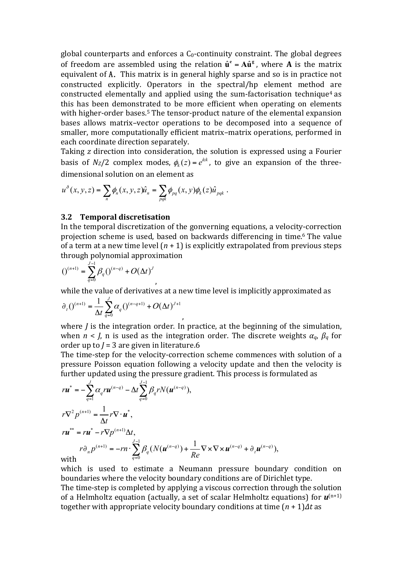global counterparts and enforces a  $C_0$ -continuity constraint. The global degrees of freedom are assembled using the relation  $\hat{\mathbf{u}}^{\text{e}} = \mathbf{A}\hat{\mathbf{u}}^{\text{g}}$ , where **A** is the matrix equivalent of A. This matrix is in general highly sparse and so is in practice not constructed explicitly. Operators in the spectral/hp element method are constructed elementally and applied using the sum-factorisation technique<sup>4</sup> as this has been demonstrated to be more efficient when operating on elements with higher-order bases.<sup>5</sup> The tensor-product nature of the elemental expansion bases allows matrix-vector operations to be decomposed into a sequence of smaller, more computationally efficient matrix-matrix operations, performed in each coordinate direction separately.

Taking *z* direction into consideration, the solution is expressed using a Fourier basis of  $N_z/2$  complex modes,  $\phi_k(z) = e^{izk}$ , to give an expansion of the threedimensional solution on an element as

$$
u^{\delta}(x, y, z) = \sum_{n} \phi_n(x, y, z) \hat{u}_n = \sum_{p \neq k} \phi_{pq}(x, y) \phi_k(z) \hat{u}_{pqk}.
$$

,

#### **3.2 Temporal discretisation**

In the temporal discretization of the gonverning equations, a velocity-correction projection scheme is used, based on backwards differencing in time.<sup>6</sup> The value of a term at a new time level  $(n + 1)$  is explicitly extrapolated from previous steps through polynomial approximation

$$
(1)^{(n+1)} = \sum_{q=0}^{J-1} \beta_q (1)^{(n-q)} + O(\Delta t)^J
$$

while the value of derivatives at a new time level is implicitly approximated as

$$
\partial_t (0^{(n+1)} = \frac{1}{\Delta t} \sum_{q=0}^J \alpha_q (0^{(n-q+1)} + O(\Delta t)^{J+1}),
$$

where  $J$  is the integration order. In practice, at the beginning of the simulation, when  $n < J$ , n is used as the integration order. The discrete weights  $\alpha_q$ ,  $\beta_q$  for order up to  *are given in literature.6* 

The time-step for the velocity-correction scheme commences with solution of a pressure Poisson equation following a velocity update and then the velocity is further updated using the pressure gradient. This process is formulated as

$$
r\mathbf{u}^* = -\sum_{q=1}^J \alpha_q r \mathbf{u}^{(n-q)} - \Delta t \sum_{q=0}^{J-1} \beta_q r N(\mathbf{u}^{(n-q)}),
$$
  
\n
$$
r\nabla^2 p^{(n+1)} = \frac{1}{\Delta t} r \nabla \cdot \mathbf{u}^*,
$$
  
\n
$$
r\mathbf{u}^{**} = r\mathbf{u}^* - r \nabla p^{(n+1)} \Delta t,
$$
  
\n
$$
r\partial_n p^{(n+1)} = -r\mathbf{n} \cdot \sum_{q=0}^{J-1} \beta_q (N(\mathbf{u}^{(n-q)}) + \frac{1}{Re} \nabla \times \nabla \times \mathbf{u}^{(n-q)} + \partial_i \mathbf{u}^{(n-q)}),
$$
  
\nwith

with

which is used to estimate a Neumann pressure boundary condition on boundaries where the velocity boundary conditions are of Dirichlet type. The time-step is completed by applying a viscous correction through the solution of a Helmholtz equation (actually, a set of scalar Helmholtz equations) for  $\mathbf{u}^{(n+1)}$ together with appropriate velocity boundary conditions at time  $(n + 1)$ ∆t as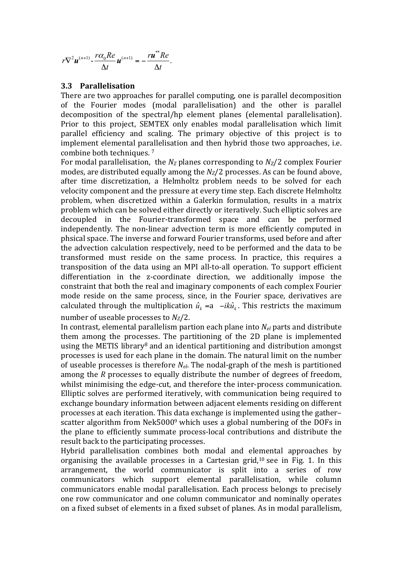$$
r\nabla^2 \boldsymbol{u}^{(n+1)} - \frac{r\alpha_0 Re}{\Delta t} \boldsymbol{u}^{(n+1)} = -\frac{r\boldsymbol{u}^* Re}{\Delta t}.
$$

#### **3.3 Parallelisation**

There are two approaches for parallel computing, one is parallel decomposition of the Fourier modes (modal parallelisation) and the other is parallel decomposition of the spectral/hp element planes (elemental parallelisation). Prior to this project, SEMTEX only enables modal parallelisation which limit parallel efficiency and scaling. The primary objective of this project is to implement elemental parallelisation and then hybrid those two approaches, i.e. combine both techniques.<sup>7</sup>

For modal parallelisation, the  $N_Z$  planes corresponding to  $N_Z/2$  complex Fourier modes, are distributed equally among the  $N_Z/2$  processes. As can be found above, after time discretization, a Helmholtz problem needs to be solved for each velocity component and the pressure at every time step. Each discrete Helmholtz problem, when discretized within a Galerkin formulation, results in a matrix problem which can be solved either directly or iteratively. Such elliptic solves are decoupled in the Fourier-transformed space and can be performed independently. The non-linear advection term is more efficiently computed in phsical space. The inverse and forward Fourier transforms, used before and after the advection calculation respectively, need to be performed and the data to be transformed must reside on the same process. In practice, this requires a transposition of the data using an MPI all-to-all operation. To support efficient differentiation in the z-coordinate direction, we additionally impose the constraint that both the real and imaginary components of each complex Fourier mode reside on the same process, since, in the Fourier space, derivatives are calculated through the multiplication  $\hat{u}_k = a - i k \hat{u}_k$ . This restricts the maximum number of useable processes to  $N_Z/2$ .

In contrast, elemental parallelism partion each plane into  $N_{el}$  parts and distribute them among the processes. The partitioning of the 2D plane is implemented using the METIS library<sup>8</sup> and an identical partitioning and distribution amongst processes is used for each plane in the domain. The natural limit on the number of useable processes is therefore  $N_{el}$ . The nodal-graph of the mesh is partitioned among the *R* processes to equally distribute the number of degrees of freedom, whilst minimising the edge-cut, and therefore the inter-process communication. Elliptic solves are performed iteratively, with communication being required to exchange boundary information between adjacent elements residing on different processes at each iteration. This data exchange is implemented using the gatherscatter algorithm from Nek5000<sup>9</sup> which uses a global numbering of the DOFs in the plane to efficiently summate process-local contributions and distribute the result back to the participating processes.

Hybrid parallelisation combines both modal and elemental approaches by organising the available processes in a Cartesian grid,<sup>10</sup> see in Fig. 1. In this arrangement, the world communicator is split into a series of row communicators which support elemental parallelisation, while column communicators enable modal parallelisation. Each process belongs to precisely one row communicator and one column communicator and nominally operates on a fixed subset of elements in a fixed subset of planes. As in modal parallelism,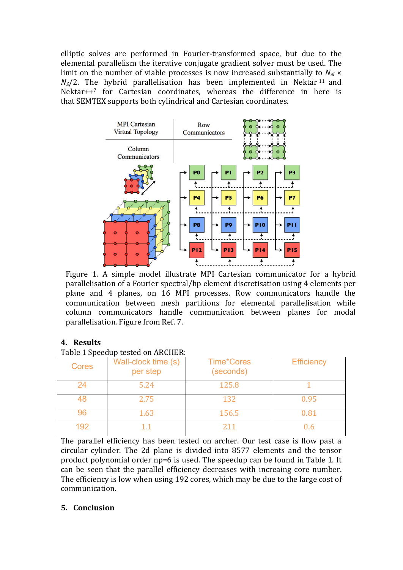elliptic solves are performed in Fourier-transformed space, but due to the elemental parallelism the iterative conjugate gradient solver must be used. The limit on the number of viable processes is now increased substantially to  $N_{el} \times$  $N_Z/2$ . The hybrid parallelisation has been implemented in Nektar <sup>11</sup> and Nektar $++^7$  for Cartesian coordinates, whereas the difference in here is that SEMTEX supports both cylindrical and Cartesian coordinates.



Figure 1. A simple model illustrate MPI Cartesian communicator for a hybrid parallelisation of a Fourier spectral/hp element discretisation using 4 elements per plane and 4 planes, on 16 MPI processes. Row communicators handle the communication between mesh partitions for elemental parallelisation while column communicators handle communication between planes for modal parallelisation. Figure from Ref. 7.

# **4. Results**

Table 1 Speedup tested on ARCHER:

| <b>Cores</b> | Wall-clock time (s)<br>per step | <b>Time*Cores</b><br>(seconds) | <b>Efficiency</b> |
|--------------|---------------------------------|--------------------------------|-------------------|
| 24           | 5.24                            | 125.8                          |                   |
| 48           | 2.75                            | 132                            | 0.95              |
| 96           | 1.63                            | 156.5                          | 0.81              |
| 192          |                                 | 211                            |                   |

The parallel efficiency has been tested on archer. Our test case is flow past a circular cylinder. The 2d plane is divided into 8577 elements and the tensor product polynomial order np=6 is used. The speedup can be found in Table 1. It can be seen that the parallel efficiency decreases with increaing core number. The efficiency is low when using 192 cores, which may be due to the large cost of communication.

# **5. Conclusion**